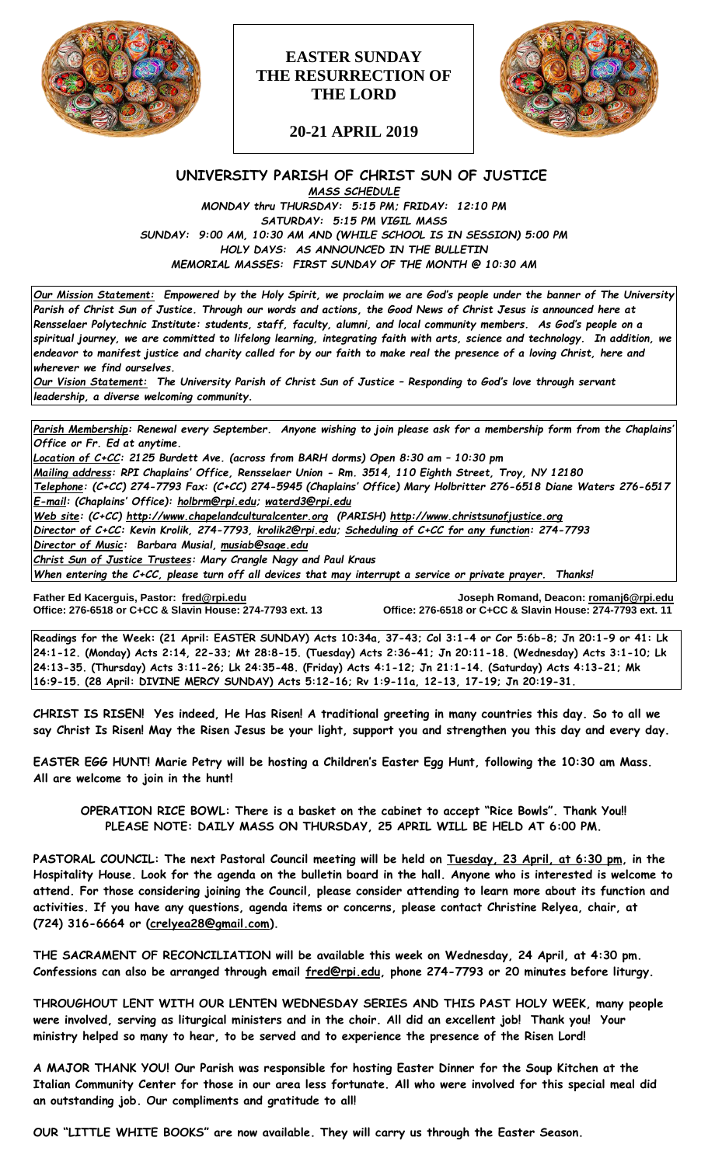

# **EASTER SUNDAY THE RESURRECTION OF THE LORD**



**20-21 APRIL 2019**

# **UNIVERSITY PARISH OF CHRIST SUN OF JUSTICE** *MASS SCHEDULE*

*MONDAY thru THURSDAY: 5:15 PM; FRIDAY: 12:10 PM SATURDAY: 5:15 PM VIGIL MASS SUNDAY: 9:00 AM, 10:30 AM AND (WHILE SCHOOL IS IN SESSION) 5:00 PM HOLY DAYS: AS ANNOUNCED IN THE BULLETIN MEMORIAL MASSES: FIRST SUNDAY OF THE MONTH @ 10:30 AM*

*Our Mission Statement:**Empowered by the Holy Spirit, we proclaim we are God's people under the banner of The University Parish of Christ Sun of Justice. Through our words and actions, the Good News of Christ Jesus is announced here at Rensselaer Polytechnic Institute: students, staff, faculty, alumni, and local community members. As God's people on a spiritual journey, we are committed to lifelong learning, integrating faith with arts, science and technology. In addition, we endeavor to manifest justice and charity called for by our faith to make real the presence of a loving Christ, here and wherever we find ourselves.*

*Our Vision Statement: The University Parish of Christ Sun of Justice – Responding to God's love through servant leadership, a diverse welcoming community.*

*Parish Membership: Renewal every September. Anyone wishing to join please ask for a membership form from the Chaplains' Office or Fr. Ed at anytime.*

*Location of C+CC: 2125 Burdett Ave. (across from BARH dorms) Open 8:30 am – 10:30 pm Mailing address: RPI Chaplains' Office, Rensselaer Union - Rm. 3514, 110 Eighth Street, Troy, NY 12180 Telephone: (C+CC) 274-7793 Fax: (C+CC) 274-5945 (Chaplains' Office) Mary Holbritter 276-6518 Diane Waters 276-6517 E-mail: (Chaplains' Office): [holbrm@rpi.edu;](mailto:holbrm@rpi.edu) waterd3@rpi.edu*

*Web site: (C+CC) [http://www.chapelandculturalcenter.org](http://www.chapelandculturalcenter.org/) (PARISH) http://www.christsunofjustice.org Director of C+CC: Kevin Krolik, 274-7793, krolik2@rpi.edu; Scheduling of C+CC for any function: 274-7793 Director of Music: Barbara Musial, [musiab@sage.edu](mailto:musiab@sage.edu)*

*Christ Sun of Justice Trustees: Mary Crangle Nagy and Paul Kraus*

*When entering the C+CC, please turn off all devices that may interrupt a service or private prayer. Thanks!* 

Father Ed Kacerguis, Pastor: fred@rpi.edu **Office: 276-6518 or C+CC & Slavin House: 274-7793 ext. 13**  **Father Ed Kacerguis, Pastor: [fred@rpi.edu](mailto:fred@rpi.edu) Joseph Romand, Deacon[: romanj6@rpi.edu](mailto:romanj6@rpi.edu)**

**Readings for the Week: (21 April: EASTER SUNDAY) Acts 10:34a, 37-43; Col 3:1-4 or Cor 5:6b-8; Jn 20:1-9 or 41: Lk 24:1-12. (Monday) Acts 2:14, 22-33; Mt 28:8-15. (Tuesday) Acts 2:36-41; Jn 20:11-18. (Wednesday) Acts 3:1-10; Lk 24:13-35. (Thursday) Acts 3:11-26; Lk 24:35-48. (Friday) Acts 4:1-12; Jn 21:1-14. (Saturday) Acts 4:13-21; Mk 16:9-15. (28 April: DIVINE MERCY SUNDAY) Acts 5:12-16; Rv 1:9-11a, 12-13, 17-19; Jn 20:19-31.**

**CHRIST IS RISEN! Yes indeed, He Has Risen! A traditional greeting in many countries this day. So to all we say Christ Is Risen! May the Risen Jesus be your light, support you and strengthen you this day and every day.**

**EASTER EGG HUNT! Marie Petry will be hosting a Children's Easter Egg Hunt, following the 10:30 am Mass. All are welcome to join in the hunt!** 

**OPERATION RICE BOWL: There is a basket on the cabinet to accept "Rice Bowls". Thank You!! PLEASE NOTE: DAILY MASS ON THURSDAY, 25 APRIL WILL BE HELD AT 6:00 PM.**

**PASTORAL COUNCIL: The next Pastoral Council meeting will be held on Tuesday, 23 April, at 6:30 pm, in the Hospitality House. Look for the agenda on the bulletin board in the hall. Anyone who is interested is welcome to attend. For those considering joining the Council, please consider attending to learn more about its function and activities. If you have any questions, agenda items or concerns, please contact Christine Relyea, chair, at (724) 316-6664 or [\(crelyea28@gmail.com\)](mailto:crelyea28@gmail.com).**

**THE SACRAMENT OF RECONCILIATION will be available this week on Wednesday, 24 April, at 4:30 pm. Confessions can also be arranged through email [fred@rpi.edu,](mailto:fred@rpi.edu) phone 274-7793 or 20 minutes before liturgy.** 

**THROUGHOUT LENT WITH OUR LENTEN WEDNESDAY SERIES AND THIS PAST HOLY WEEK, many people were involved, serving as liturgical ministers and in the choir. All did an excellent job! Thank you! Your ministry helped so many to hear, to be served and to experience the presence of the Risen Lord!** 

**A MAJOR THANK YOU! Our Parish was responsible for hosting Easter Dinner for the Soup Kitchen at the Italian Community Center for those in our area less fortunate. All who were involved for this special meal did an outstanding job. Our compliments and gratitude to all!**

**OUR "LITTLE WHITE BOOKS" are now available. They will carry us through the Easter Season.**